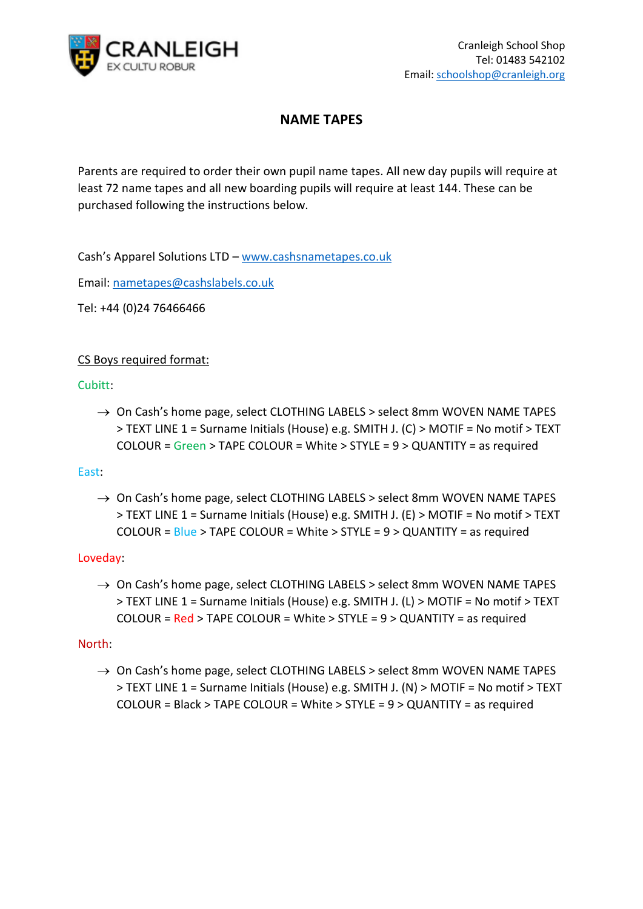

# **NAME TAPES**

Parents are required to order their own pupil name tapes. All new day pupils will require at least 72 name tapes and all new boarding pupils will require at least 144. These can be purchased following the instructions below.

Cash's Apparel Solutions LTD – [www.cashsnametapes.co.uk](http://www.cashsnametapes.co.uk/)

Email: [nametapes@cashslabels.co.uk](mailto:nametapes@cashslabels.co.uk) 

Tel: +44 (0)24 76466466

# CS Boys required format:

## Cubitt:

 $\rightarrow$  On Cash's home page, select CLOTHING LABELS > select 8mm WOVEN NAME TAPES > TEXT LINE 1 = Surname Initials (House) e.g. SMITH J. (C) > MOTIF = No motif > TEXT COLOUR = Green > TAPE COLOUR = White > STYLE = 9 > QUANTITY = as required

### East:

 $\rightarrow$  On Cash's home page, select CLOTHING LABELS > select 8mm WOVEN NAME TAPES > TEXT LINE 1 = Surname Initials (House) e.g. SMITH J. (E) > MOTIF = No motif > TEXT COLOUR =  $Blue$  > TAPE COLOUR = White > STYLE =  $9$  > QUANTITY = as required

### Loveday:

 $\rightarrow$  On Cash's home page, select CLOTHING LABELS > select 8mm WOVEN NAME TAPES > TEXT LINE 1 = Surname Initials (House) e.g. SMITH J. (L) > MOTIF = No motif > TEXT COLOUR =  $Red$  > TAPE COLOUR = White > STYLE =  $9$  > QUANTITY = as required

### North:

 $\rightarrow$  On Cash's home page, select CLOTHING LABELS > select 8mm WOVEN NAME TAPES > TEXT LINE 1 = Surname Initials (House) e.g. SMITH J. (N) > MOTIF = No motif > TEXT COLOUR = Black > TAPE COLOUR = White > STYLE = 9 > QUANTITY = as required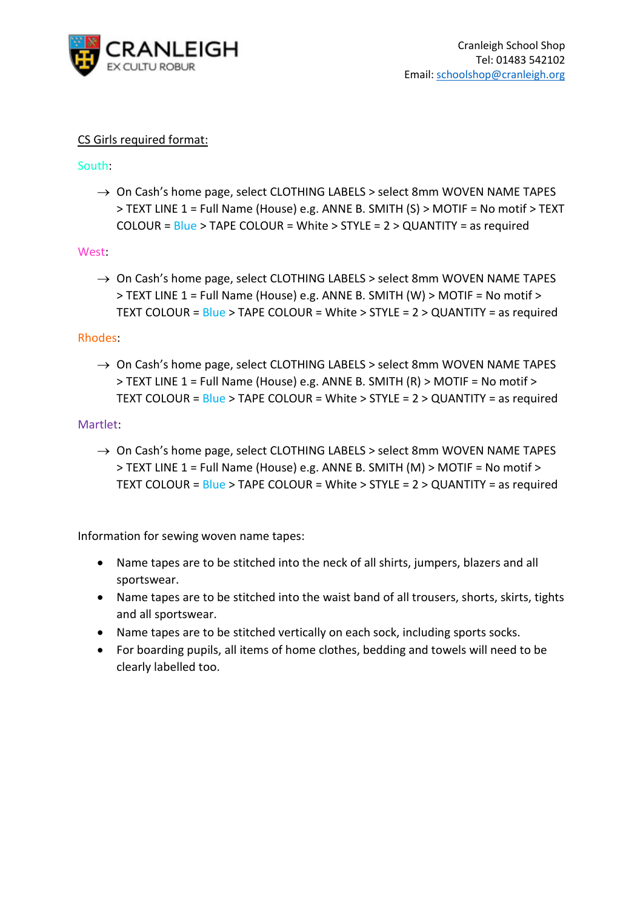

### CS Girls required format:

### South:

 $\rightarrow$  On Cash's home page, select CLOTHING LABELS > select 8mm WOVEN NAME TAPES > TEXT LINE 1 = Full Name (House) e.g. ANNE B. SMITH (S) > MOTIF = No motif > TEXT COLOUR = Blue > TAPE COLOUR = White > STYLE = 2 > QUANTITY = as required

#### West:

 $\rightarrow$  On Cash's home page, select CLOTHING LABELS > select 8mm WOVEN NAME TAPES  $>$  TEXT LINE 1 = Full Name (House) e.g. ANNE B. SMITH (W)  $>$  MOTIF = No motif  $>$ TEXT COLOUR = Blue > TAPE COLOUR = White > STYLE = 2 > QUANTITY = as required

#### Rhodes:

 $\rightarrow$  On Cash's home page, select CLOTHING LABELS > select 8mm WOVEN NAME TAPES > TEXT LINE 1 = Full Name (House) e.g. ANNE B. SMITH (R) > MOTIF = No motif > TEXT COLOUR = Blue > TAPE COLOUR = White > STYLE = 2 > QUANTITY = as required

#### Martlet:

 $\rightarrow$  On Cash's home page, select CLOTHING LABELS > select 8mm WOVEN NAME TAPES > TEXT LINE 1 = Full Name (House) e.g. ANNE B. SMITH (M) > MOTIF = No motif > TEXT COLOUR = Blue > TAPE COLOUR = White > STYLE = 2 > QUANTITY = as required

Information for sewing woven name tapes:

- Name tapes are to be stitched into the neck of all shirts, jumpers, blazers and all sportswear.
- Name tapes are to be stitched into the waist band of all trousers, shorts, skirts, tights and all sportswear.
- Name tapes are to be stitched vertically on each sock, including sports socks.
- For boarding pupils, all items of home clothes, bedding and towels will need to be clearly labelled too.